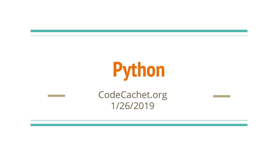# **Python**

CodeCachet.org 1/26/2019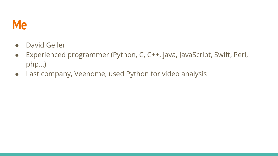#### **Me**

- David Geller
- Experienced programmer (Python, C, C++, java, JavaScript, Swift, Perl, php…)
- Last company, Veenome, used Python for video analysis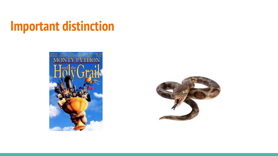#### **Important distinction**



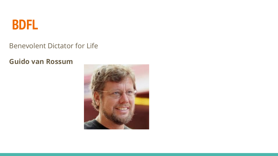

#### Benevolent Dictator for Life

#### **Guido van Rossum**

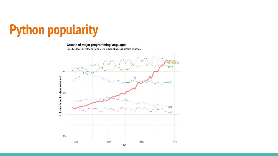

#### Growth of major programming languages

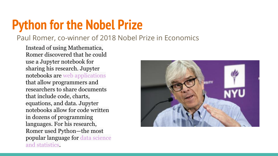#### **Python for the Nobel Prize**

#### Paul Romer, co-winner of 2018 Nobel Prize in Economics

Instead of using Mathematica, Romer discovered that he could use a Jupyter notebook for sharing his research. Jupyter notebooks are [web applications](http://jupyter.org/) that allow programmers and researchers to share documents that include code, charts, equations, and data. Jupyter notebooks allow for code written in dozens of programming languages. For his research, Romer used Python—the most popular language for [data science](https://qz.com/1126615/the-story-of-the-most-important-tool-in-data-science/) [and statistics](https://qz.com/1126615/the-story-of-the-most-important-tool-in-data-science/).

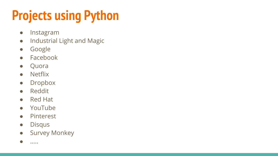## **Projects using Python**

- Instagram
- Industrial Light and Magic
- Google
- Facebook
- Quora
- Netflix
- Dropbox
- Reddit
- Red Hat
- YouTube
- Pinterest
- Disqus
- **•** Survey Monkey

● …..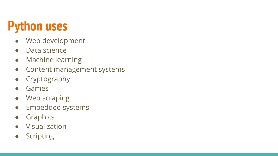#### **Python uses**

- Web development
- Data science
- Machine learning
- Content management systems
- Cryptography
- Games
- Web scraping
- Embedded systems
- Graphics
- Visualization
- Scripting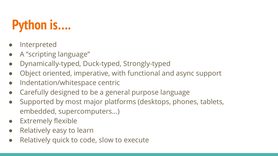#### **Python is….**

- **Interpreted**
- A "scripting language"
- Dynamically-typed, Duck-typed, Strongly-typed
- Object oriented, imperative, with functional and async support
- Indentation/whitespace centric
- Carefully designed to be a general purpose language
- Supported by most major platforms (desktops, phones, tablets, embedded, supercomputers…)
- **Extremely flexible**
- Relatively easy to learn
- Relatively quick to code, slow to execute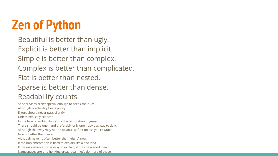## **Zen of Python**

Beautiful is better than ugly. Explicit is better than implicit. Simple is better than complex. Complex is better than complicated. Flat is better than nested. Sparse is better than dense. Readability counts.

Special cases aren't special enough to break the rules. Although practicality beats purity. Errors should never pass silently. Unless explicitly silenced. In the face of ambiguity, refuse the temptation to guess. There should be one-- and preferably only one --obvious way to do it. Although that way may not be obvious at first unless you're Dutch. Now is better than never. Although never is often better than \*right\* now. If the implementation is hard to explain, it's a bad idea. If the implementation is easy to explain, it may be a good idea. Namespaces are one honking great idea -- let's do more of those!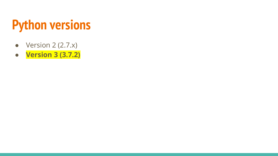#### **Python versions**

- $\bullet$  Version 2 (2.7.x)
- **● Version 3 (3.7.2)**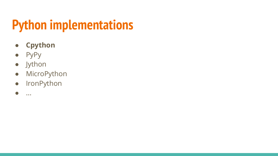### **Python implementations**

- **● Cpython**
- PyPy
- Jython
- MicroPython
- IronPython
- ...